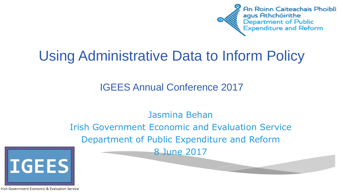

# Using Administrative Data to Inform Policy

#### IGEES Annual Conference 2017

#### Jasmina Behan

Irish Government Economic and Evaluation Service Department of Public Expenditure and Reform 8 June 2017



Irish Government Economic & Evaluation Service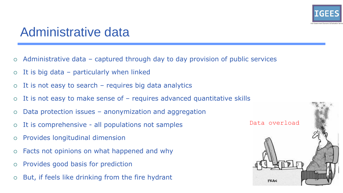

## Administrative data

- Administrative data captured through day to day provision of public services
- $\circ$  It is big data particularly when linked
- $\circ$  It is not easy to search requires big data analytics
- $\circ$  It is not easy to make sense of  $-$  requires advanced quantitative skills
- $\circ$  Data protection issues anonymization and aggregation
- It is comprehensive all populations not samples
- Provides longitudinal dimension
- Facts not opinions on what happened and why
- Provides good basis for prediction
- $\circ$  But, if feels like drinking from the fire hydrant

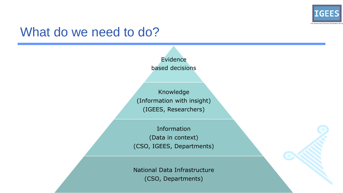

#### What do we need to do?

Evidence based decisions

Knowledge (Information with insight) (IGEES, Researchers)

Information (Data in context) (CSO, IGEES, Departments)

National Data Infrastructure (CSO, Departments)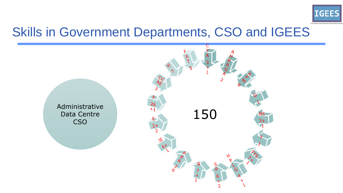

## Skills in Government Departments, CSO and IGEES

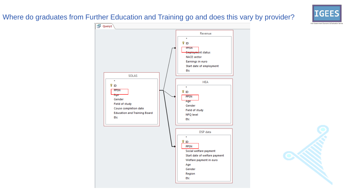#### Where do graduates from Further Education and Training go and does this vary by provider?





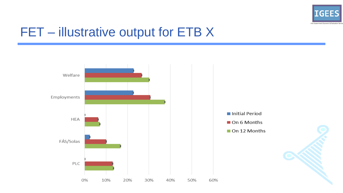

# FET - illustrative output for ETB X

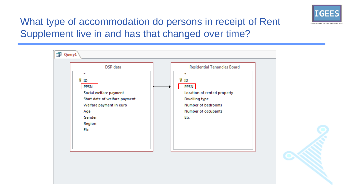

#### What type of accommodation do persons in receipt of Rent Supplement live in and has that changed over time?



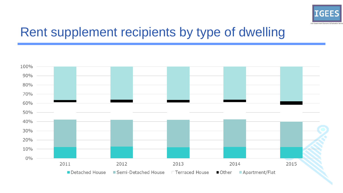

# Rent supplement recipients by type of dwelling

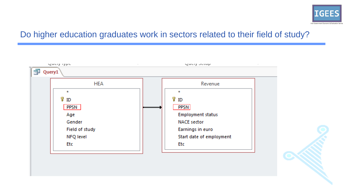

#### Do higher education graduates work in sectors related to their field of study?



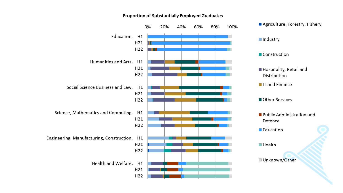

#### **Proportion of Substantially Employed Graduates**